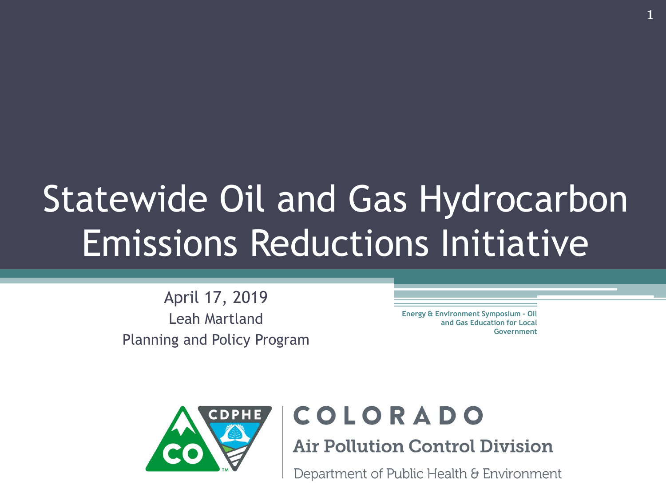## Statewide Oil and Gas Hydrocarbon Emissions Reductions Initiative

April 17, 2019 Leah Martland Planning and Policy Program

**Energy & Environment Symposium - Oil and Gas Education for Local Government**



#### COLORADO

**Air Pollution Control Division** 

Department of Public Health & Environment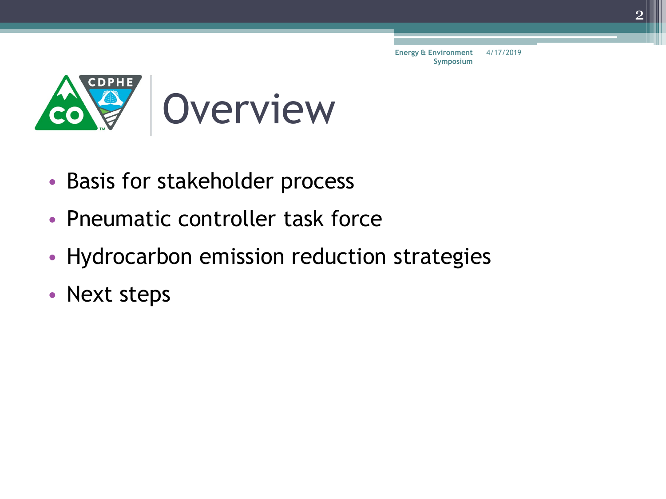

- Basis for stakeholder process
- Pneumatic controller task force
- Hydrocarbon emission reduction strategies
- Next steps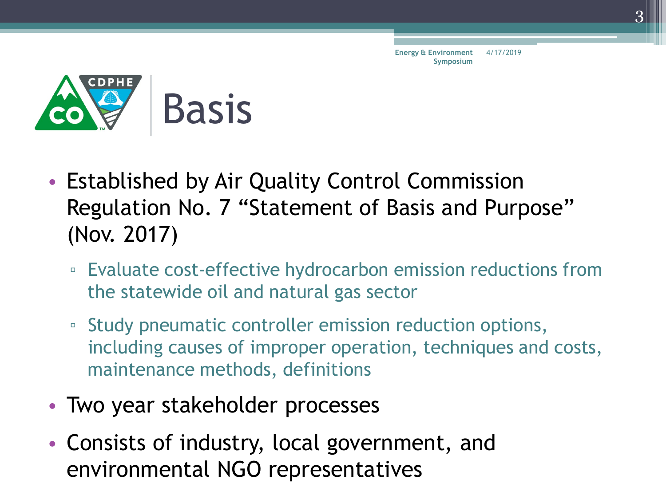

- Established by Air Quality Control Commission Regulation No. 7 "Statement of Basis and Purpose" (Nov. 2017)
	- Evaluate cost-effective hydrocarbon emission reductions from the statewide oil and natural gas sector
	- Study pneumatic controller emission reduction options, including causes of improper operation, techniques and costs, maintenance methods, definitions
- Two year stakeholder processes
- Consists of industry, local government, and environmental NGO representatives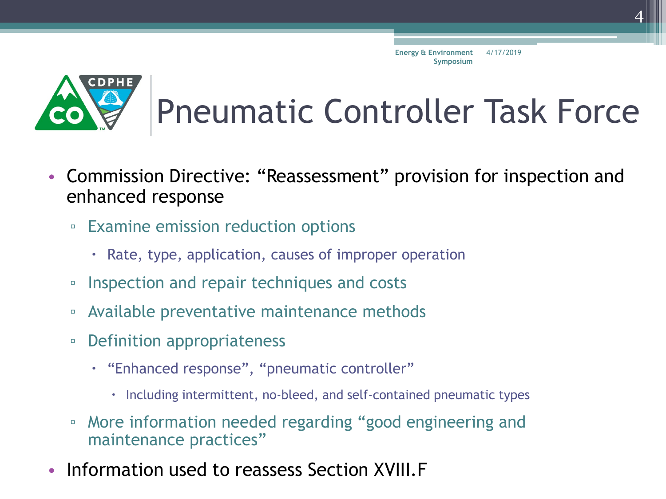

## Pneumatic Controller Task Force

- Commission Directive: "Reassessment" provision for inspection and enhanced response
	- Examine emission reduction options
		- Rate, type, application, causes of improper operation
	- Inspection and repair techniques and costs
	- Available preventative maintenance methods
	- Definition appropriateness
		- "Enhanced response", "pneumatic controller"
			- $\cdot$  Including intermittent, no-bleed, and self-contained pneumatic types
	- More information needed regarding "good engineering and maintenance practices"
- Information used to reassess Section XVIII.F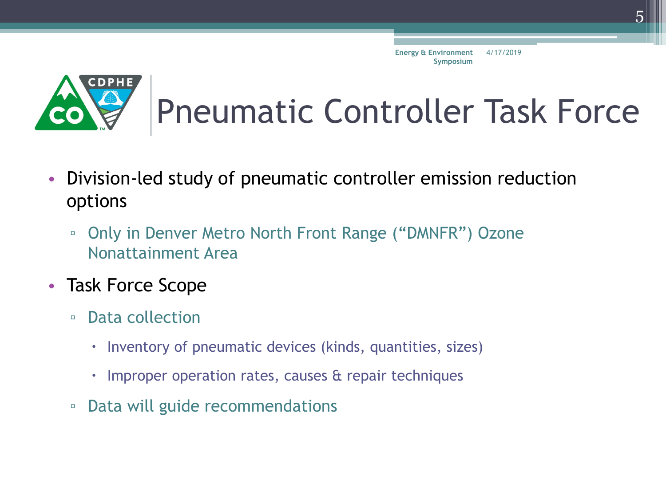

## Pneumatic Controller Task Force

- Division-led study of pneumatic controller emission reduction options
	- Only in Denver Metro North Front Range ("DMNFR") Ozone Nonattainment Area
- Task Force Scope
	- Data collection
		- Inventory of pneumatic devices (kinds, quantities, sizes)
		- $\cdot$  Improper operation rates, causes  $\alpha$  repair techniques
	- Data will guide recommendations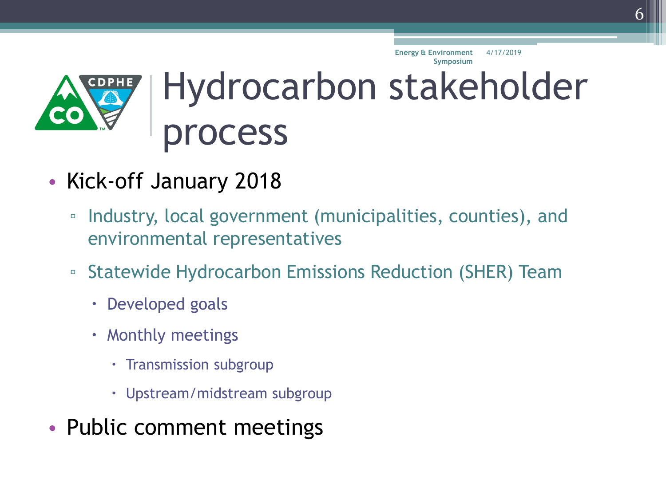

- Kick-off January 2018
	- Industry, local government (municipalities, counties), and environmental representatives
	- Statewide Hydrocarbon Emissions Reduction (SHER) Team
		- Developed goals
		- Monthly meetings
			- Transmission subgroup
			- Upstream/midstream subgroup
- Public comment meetings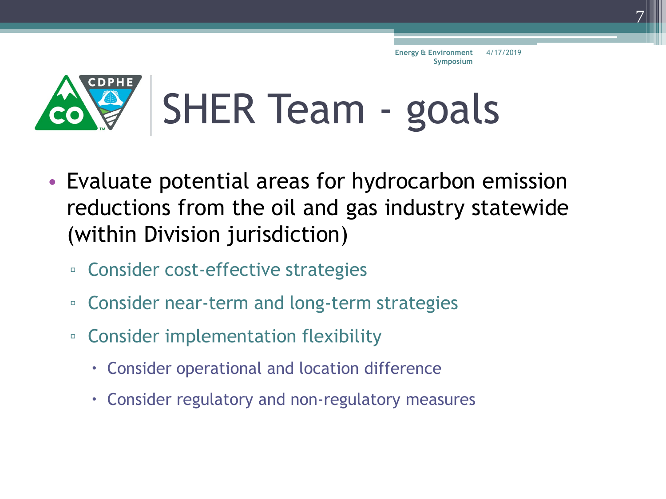

- Evaluate potential areas for hydrocarbon emission reductions from the oil and gas industry statewide (within Division jurisdiction)
	- Consider cost-effective strategies
	- Consider near-term and long-term strategies
	- Consider implementation flexibility
		- Consider operational and location difference
		- Consider regulatory and non-regulatory measures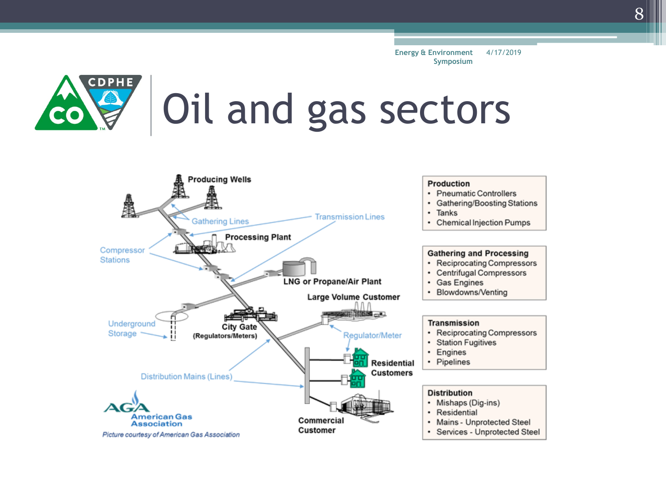

# Oil and gas sectors

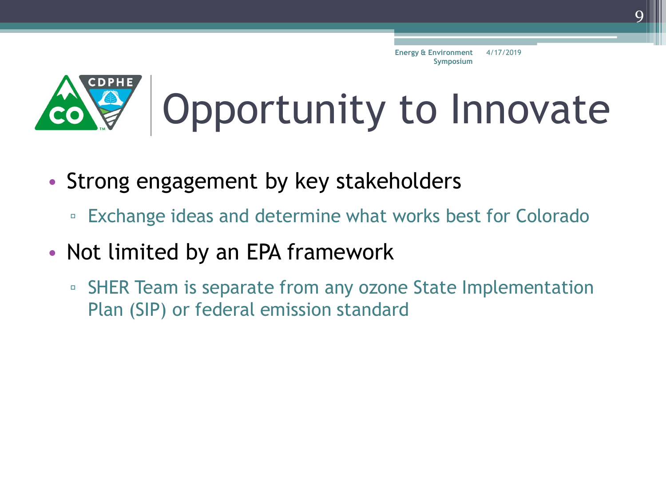

# Opportunity to Innovate

- Strong engagement by key stakeholders
	- Exchange ideas and determine what works best for Colorado
- Not limited by an EPA framework
	- □ SHER Team is separate from any ozone State Implementation Plan (SIP) or federal emission standard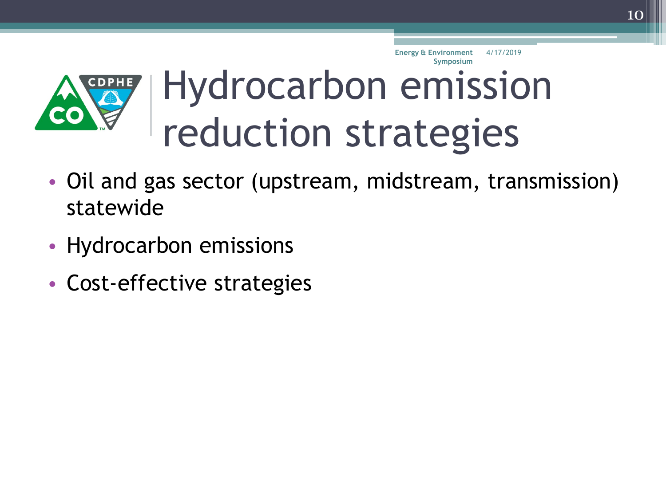

- Oil and gas sector (upstream, midstream, transmission) statewide
- Hydrocarbon emissions
- Cost-effective strategies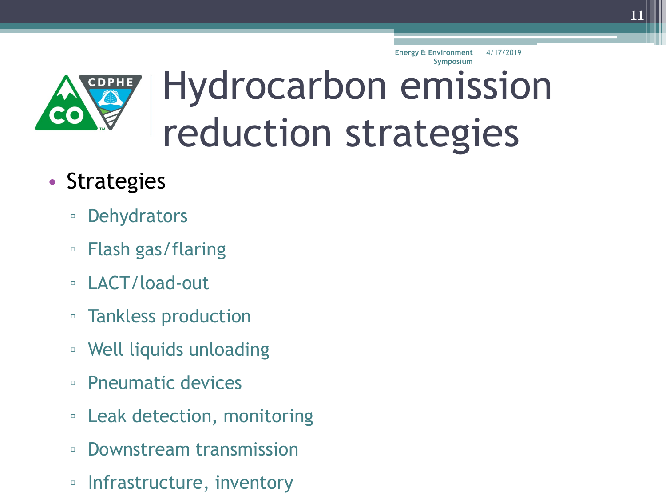

**Energy & Environment** 4/17/2019

#### • Strategies

- **Dehydrators**
- Flash gas/flaring
- LACT/load-out
- Tankless production
- Well liquids unloading
- Pneumatic devices
- Leak detection, monitoring
- Downstream transmission
- Infrastructure, inventory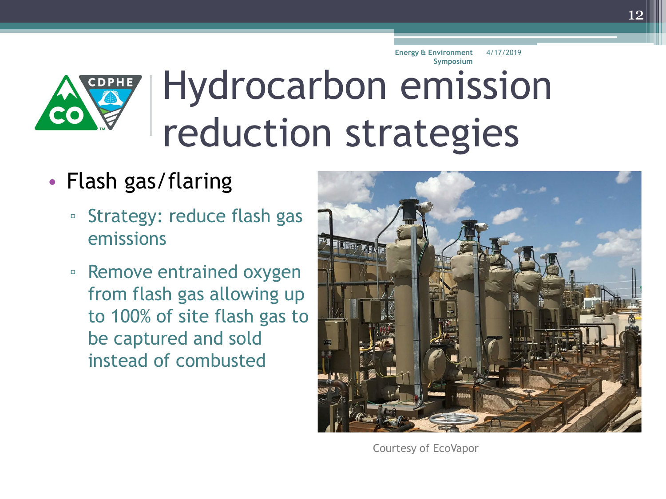**CDPHE** 

## Hydrocarbon emission reduction strategies **Symposium**

#### • Flash gas/flaring

- Strategy: reduce flash gas emissions
- Remove entrained oxygen from flash gas allowing up to 100% of site flash gas to be captured and sold instead of combusted



Courtesy of EcoVapor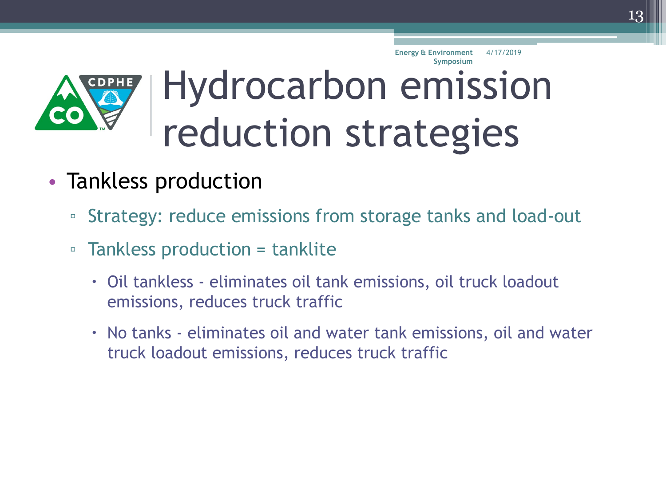

- Tankless production
	- Strategy: reduce emissions from storage tanks and load-out
	- Tankless production = tanklite
		- Oil tankless eliminates oil tank emissions, oil truck loadout emissions, reduces truck traffic
		- No tanks eliminates oil and water tank emissions, oil and water truck loadout emissions, reduces truck traffic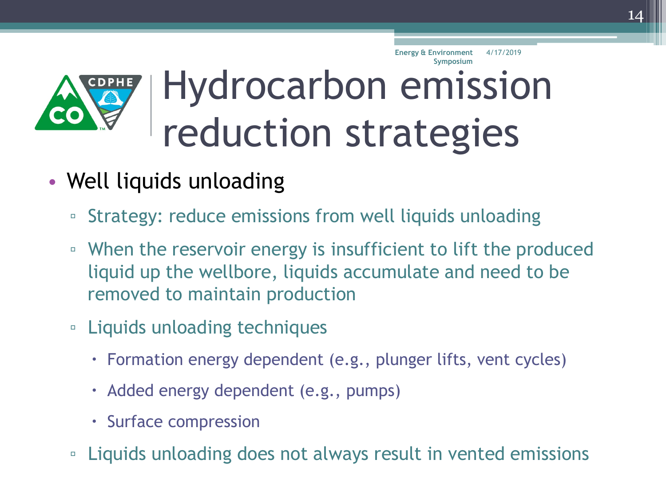

- Well liquids unloading
	- Strategy: reduce emissions from well liquids unloading
	- When the reservoir energy is insufficient to lift the produced liquid up the wellbore, liquids accumulate and need to be removed to maintain production
	- Liquids unloading techniques
		- Formation energy dependent (e.g., plunger lifts, vent cycles)
		- Added energy dependent (e.g., pumps)
		- Surface compression
	- Liquids unloading does not always result in vented emissions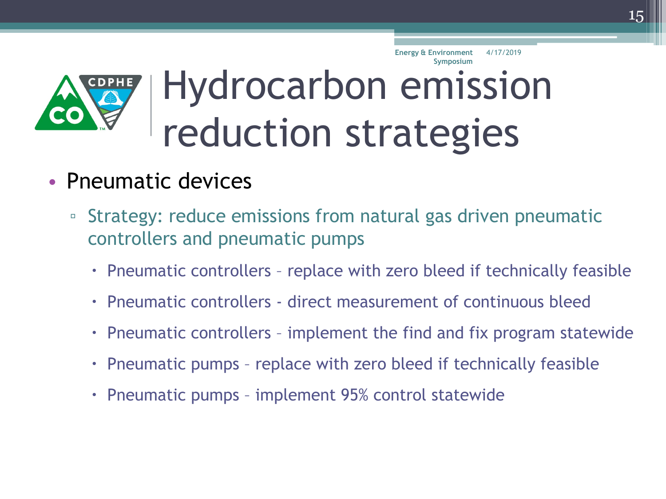

- Pneumatic devices
	- Strategy: reduce emissions from natural gas driven pneumatic controllers and pneumatic pumps
		- Pneumatic controllers replace with zero bleed if technically feasible
		- Pneumatic controllers direct measurement of continuous bleed
		- Pneumatic controllers implement the find and fix program statewide
		- Pneumatic pumps replace with zero bleed if technically feasible
		- Pneumatic pumps implement 95% control statewide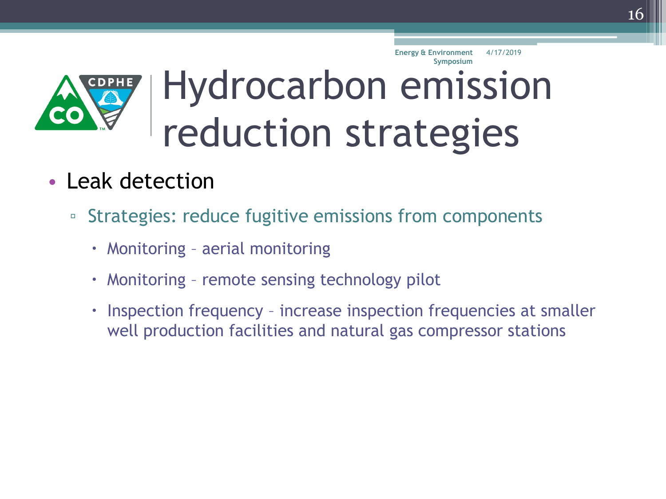

- Leak detection
	- Strategies: reduce fugitive emissions from components
		- Monitoring aerial monitoring
		- Monitoring remote sensing technology pilot
		- Inspection frequency increase inspection frequencies at smaller well production facilities and natural gas compressor stations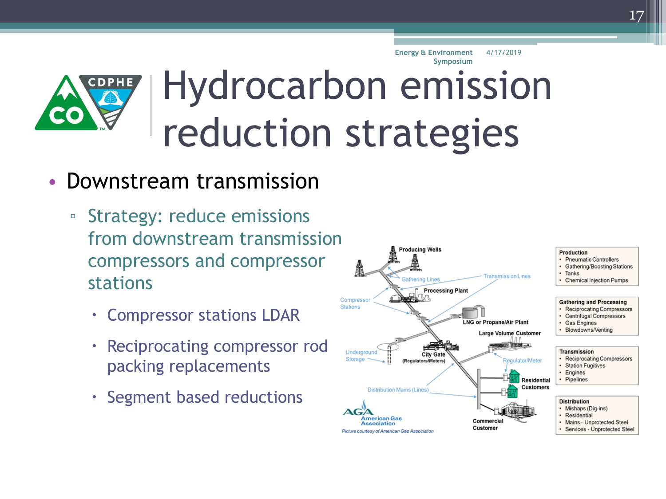

#### • Downstream transmission

- Strategy: reduce emissions from downstream transmission compressors and compressor stations
	- Compressor stations LDAR
	- Reciprocating compressor rod packing replacements
	- Segment based reductions

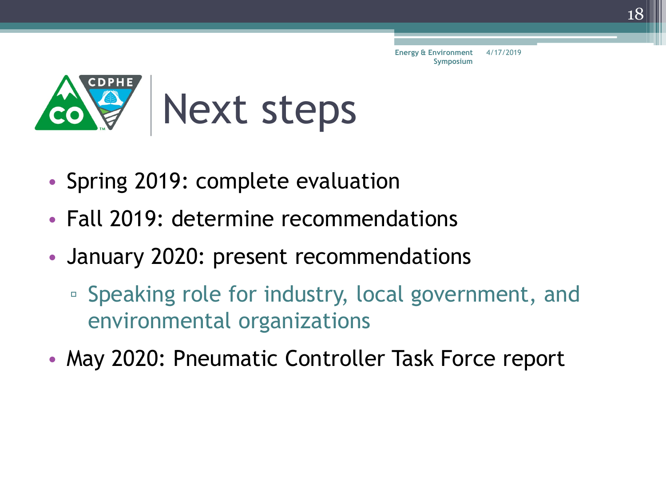

- Spring 2019: complete evaluation
- Fall 2019: determine recommendations
- January 2020: present recommendations
	- Speaking role for industry, local government, and environmental organizations
- May 2020: Pneumatic Controller Task Force report